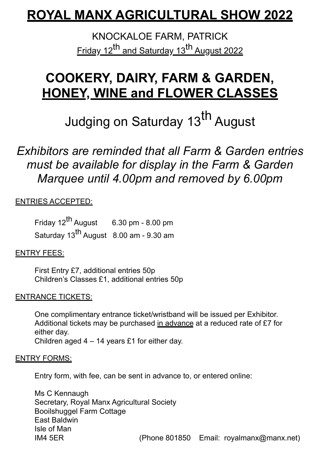# **ROYAL MANX AGRICULTURAL SHOW 2022**

KNOCKALOE FARM, PATRICK Friday 12<sup>th</sup> and Saturday 13<sup>th</sup> August 2022

# **COOKERY, DAIRY, FARM & GARDEN, HONEY, WINE and FLOWER CLASSES**

Judging on Saturday 13<sup>th</sup> August

### *Exhibitors are reminded that all Farm & Garden entries must be available for display in the Farm & Garden Marquee until 4.00pm and removed by 6.00pm*

### ENTRIES ACCEPTED:

Friday  $12^{th}$  August 6.30 pm - 8.00 pm Saturday 13<sup>th</sup> August 8.00 am - 9.30 am

#### ENTRY FEES:

First Entry £7, additional entries 50p Children's Classes £1, additional entries 50p

### ENTRANCE TICKETS:

One complimentary entrance ticket/wristband will be issued per Exhibitor. Additional tickets may be purchased in advance at a reduced rate of £7 for either day.

Children aged 4 – 14 years £1 for either day.

#### ENTRY FORMS:

Entry form, with fee, can be sent in advance to, or entered online:

Ms C Kennaugh Secretary, Royal Manx Agricultural Society Booilshuggel Farm Cottage East Baldwin Isle of Man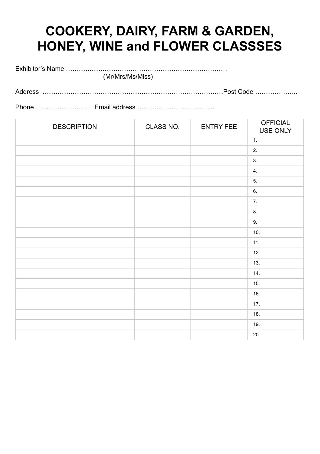# **COOKERY, DAIRY, FARM & GARDEN, HONEY, WINE and FLOWER CLASSSES**

Exhibitor's Name …………………………………………………………………

(Mr/Mrs/Ms/Miss)

| Adc |
|-----|
|-----|

Phone …………………… Email address ………………………………

| <b>DESCRIPTION</b> | CLASS NO. | <b>ENTRY FEE</b> | <b>OFFICIAL</b><br>USE ONLY |
|--------------------|-----------|------------------|-----------------------------|
|                    |           |                  | 1.                          |
|                    |           |                  | 2.                          |
|                    |           |                  | 3.                          |
|                    |           |                  | 4.                          |
|                    |           |                  | 5.                          |
|                    |           |                  | 6.                          |
|                    |           |                  | 7.                          |
|                    |           |                  | 8.                          |
|                    |           |                  | $9. \,$                     |
|                    |           |                  | 10.                         |
|                    |           |                  | 11.                         |
|                    |           |                  | 12.                         |
|                    |           |                  | 13.                         |
|                    |           |                  | 14.                         |
|                    |           |                  | 15.                         |
|                    |           |                  | 16.                         |
|                    |           |                  | $17.$                       |
|                    |           |                  | 18.                         |
|                    |           |                  | 19.                         |
|                    |           |                  | 20.                         |